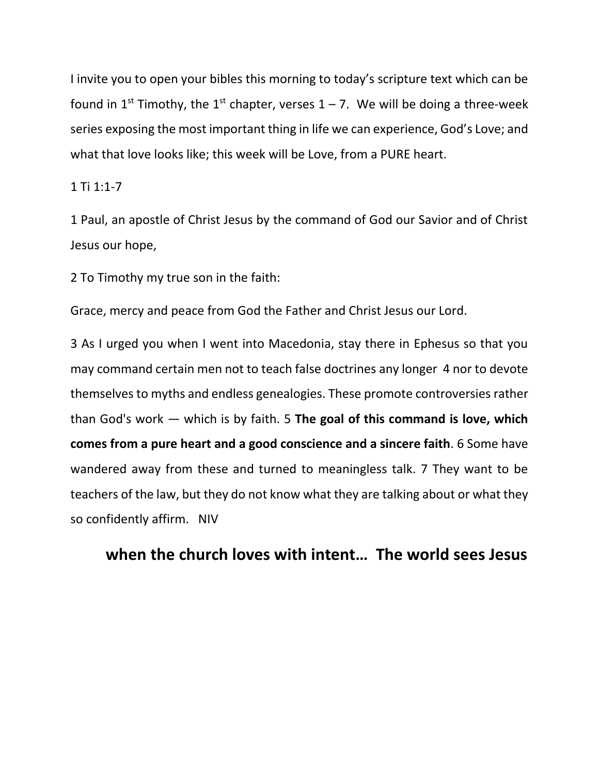I invite you to open your bibles this morning to today's scripture text which can be found in 1<sup>st</sup> Timothy, the 1<sup>st</sup> chapter, verses 1 – 7. We will be doing a three-week series exposing the most important thing in life we can experience, God's Love; and what that love looks like; this week will be Love, from a PURE heart.

#### 1 Ti 1:1-7

1 Paul, an apostle of Christ Jesus by the command of God our Savior and of Christ Jesus our hope,

2 To Timothy my true son in the faith:

Grace, mercy and peace from God the Father and Christ Jesus our Lord.

3 As I urged you when I went into Macedonia, stay there in Ephesus so that you may command certain men not to teach false doctrines any longer 4 nor to devote themselves to myths and endless genealogies. These promote controversies rather than God's work — which is by faith. 5 **The goal of this command is love, which comes from a pure heart and a good conscience and a sincere faith**. 6 Some have wandered away from these and turned to meaningless talk. 7 They want to be teachers of the law, but they do not know what they are talking about or what they so confidently affirm. NIV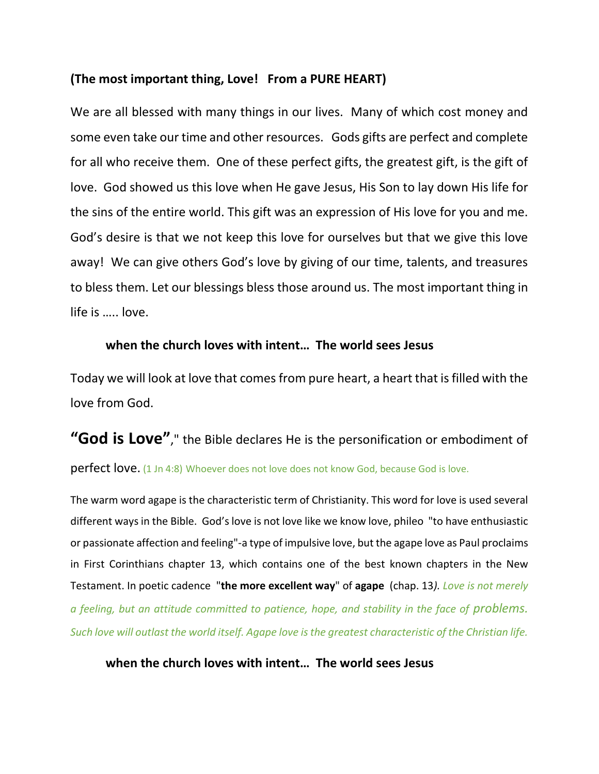### **(The most important thing, Love! From a PURE HEART)**

We are all blessed with many things in our lives. Many of which cost money and some even take our time and other resources. Gods gifts are perfect and complete for all who receive them. One of these perfect gifts, the greatest gift, is the gift of love. God showed us this love when He gave Jesus, His Son to lay down His life for the sins of the entire world. This gift was an expression of His love for you and me. God's desire is that we not keep this love for ourselves but that we give this love away! We can give others God's love by giving of our time, talents, and treasures to bless them. Let our blessings bless those around us. The most important thing in life is ….. love.

### **when the church loves with intent… The world sees Jesus**

Today we will look at love that comes from pure heart, a heart that is filled with the love from God.

# **"God is Love"**," the Bible declares He is the personification or embodiment of **perfect love.** (1 Jn 4:8) Whoever does not love does not know God, because God is love.

The warm word agape is the characteristic term of Christianity. This word for love is used several different ways in the Bible. God's love is not love like we know love, phileo "to have enthusiastic or passionate affection and feeling"-a type of impulsive love, but the agape love as Paul proclaims in First Corinthians chapter 13, which contains one of the best known chapters in the New Testament. In poetic cadence "**the more excellent way**" of **agape** (chap. 13*). Love is not merely a feeling, but an attitude committed to patience, hope, and stability in the face of problems. Such love will outlast the world itself. Agape love is the greatest characteristic of the Christian life.*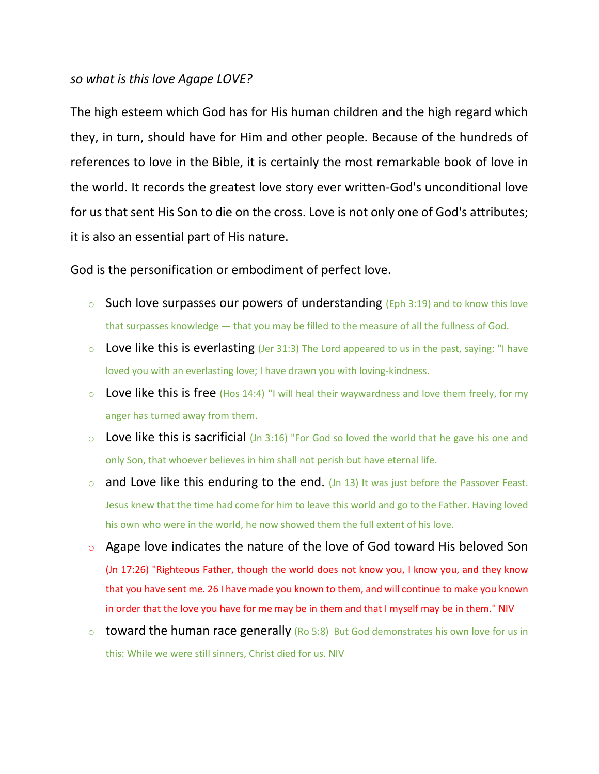### *so what is this love Agape LOVE?*

The high esteem which God has for His human children and the high regard which they, in turn, should have for Him and other people. Because of the hundreds of references to love in the Bible, it is certainly the most remarkable book of love in the world. It records the greatest love story ever written-God's unconditional love for us that sent His Son to die on the cross. Love is not only one of God's attributes; it is also an essential part of His nature.

God is the personification or embodiment of perfect love.

- $\circ$  Such love surpasses our powers of understanding (Eph 3:19) and to know this love that surpasses knowledge — that you may be filled to the measure of all the fullness of God.
- $\circ$  Love like this is everlasting (Jer 31:3) The Lord appeared to us in the past, saying: "I have loved you with an everlasting love; I have drawn you with loving-kindness.
- $\circ$  Love like this is free (Hos 14:4) "I will heal their waywardness and love them freely, for my anger has turned away from them.
- $\circ$  Love like this is sacrificial (Jn 3:16) "For God so loved the world that he gave his one and only Son, that whoever believes in him shall not perish but have eternal life.
- $\circ$  and Love like this enduring to the end. (Jn 13) It was just before the Passover Feast. Jesus knew that the time had come for him to leave this world and go to the Father. Having loved his own who were in the world, he now showed them the full extent of his love.
- o Agape love indicates the nature of the love of God toward His beloved Son (Jn 17:26) "Righteous Father, though the world does not know you, I know you, and they know that you have sent me. 26 I have made you known to them, and will continue to make you known in order that the love you have for me may be in them and that I myself may be in them." NIV
- $\circ$  toward the human race generally (Ro 5:8) But God demonstrates his own love for us in this: While we were still sinners, Christ died for us. NIV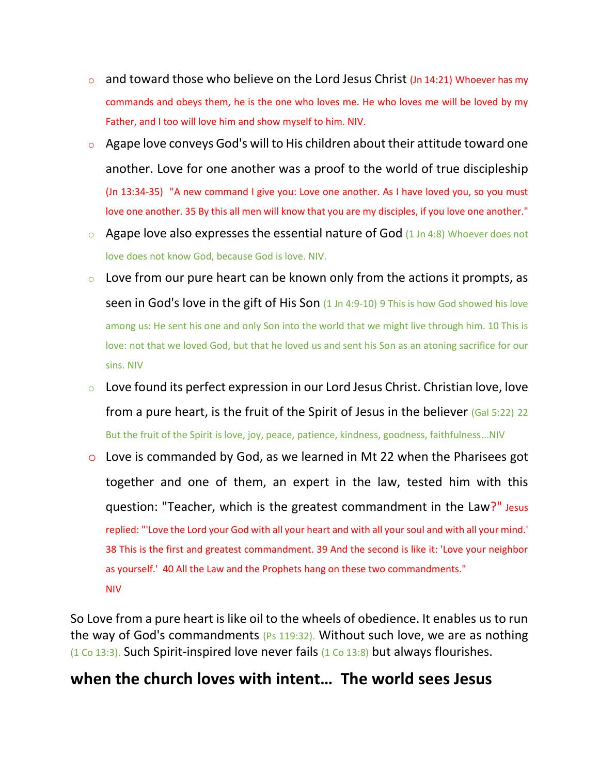- $\circ$  and toward those who believe on the Lord Jesus Christ (Jn 14:21) Whoever has my commands and obeys them, he is the one who loves me. He who loves me will be loved by my Father, and I too will love him and show myself to him. NIV.
- $\circ$  Agape love conveys God's will to His children about their attitude toward one another. Love for one another was a proof to the world of true discipleship (Jn 13:34-35) "A new command I give you: Love one another. As I have loved you, so you must love one another. 35 By this all men will know that you are my disciples, if you love one another."
- $\circ$  Agape love also expresses the essential nature of God (1 Jn 4:8) Whoever does not love does not know God, because God is love. NIV.
- $\circ$  Love from our pure heart can be known only from the actions it prompts, as seen in God's love in the gift of His Son (1 Jn 4:9-10) 9 This is how God showed his love among us: He sent his one and only Son into the world that we might live through him. 10 This is love: not that we loved God, but that he loved us and sent his Son as an atoning sacrifice for our sins. NIV
- $\circ$  Love found its perfect expression in our Lord Jesus Christ. Christian love, love from a pure heart, is the fruit of the Spirit of Jesus in the believer (Gal 5:22) 22 But the fruit of the Spirit is love, joy, peace, patience, kindness, goodness, faithfulness...NIV
- o Love is commanded by God, as we learned in Mt 22 when the Pharisees got together and one of them, an expert in the law, tested him with this question: "Teacher, which is the greatest commandment in the Law?" Jesus replied: "'Love the Lord your God with all your heart and with all your soul and with all your mind.' 38 This is the first and greatest commandment. 39 And the second is like it: 'Love your neighbor as yourself.' 40 All the Law and the Prophets hang on these two commandments." NIV

So Love from a pure heart is like oil to the wheels of obedience. It enables us to run the way of God's commandments (Ps 119:32). Without such love, we are as nothing  $(1$  Co 13:3). Such Spirit-inspired love never fails  $(1$  Co 13:8) but always flourishes.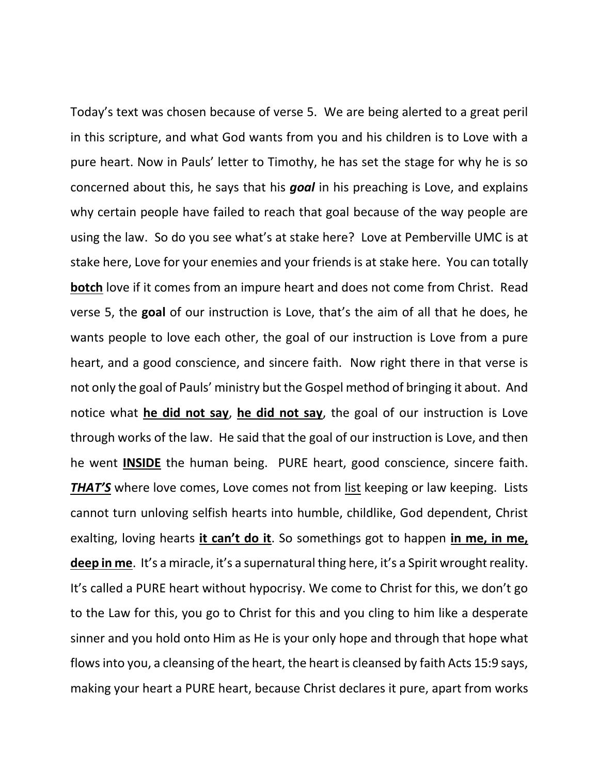Today's text was chosen because of verse 5. We are being alerted to a great peril in this scripture, and what God wants from you and his children is to Love with a pure heart. Now in Pauls' letter to Timothy, he has set the stage for why he is so concerned about this, he says that his *goal* in his preaching is Love, and explains why certain people have failed to reach that goal because of the way people are using the law. So do you see what's at stake here? Love at Pemberville UMC is at stake here, Love for your enemies and your friends is at stake here. You can totally **botch** love if it comes from an impure heart and does not come from Christ. Read verse 5, the **goal** of our instruction is Love, that's the aim of all that he does, he wants people to love each other, the goal of our instruction is Love from a pure heart, and a good conscience, and sincere faith. Now right there in that verse is not only the goal of Pauls' ministry but the Gospel method of bringing it about. And notice what **he did not say**, **he did not say**, the goal of our instruction is Love through works of the law. He said that the goal of our instruction is Love, and then he went **INSIDE** the human being. PURE heart, good conscience, sincere faith. *THAT'S* where love comes, Love comes not from list keeping or law keeping. Lists cannot turn unloving selfish hearts into humble, childlike, God dependent, Christ exalting, loving hearts **it can't do it**. So somethings got to happen **in me, in me,**  deep in me. It's a miracle, it's a supernatural thing here, it's a Spirit wrought reality. It's called a PURE heart without hypocrisy. We come to Christ for this, we don't go to the Law for this, you go to Christ for this and you cling to him like a desperate sinner and you hold onto Him as He is your only hope and through that hope what flows into you, a cleansing of the heart, the heart is cleansed by faith Acts 15:9 says, making your heart a PURE heart, because Christ declares it pure, apart from works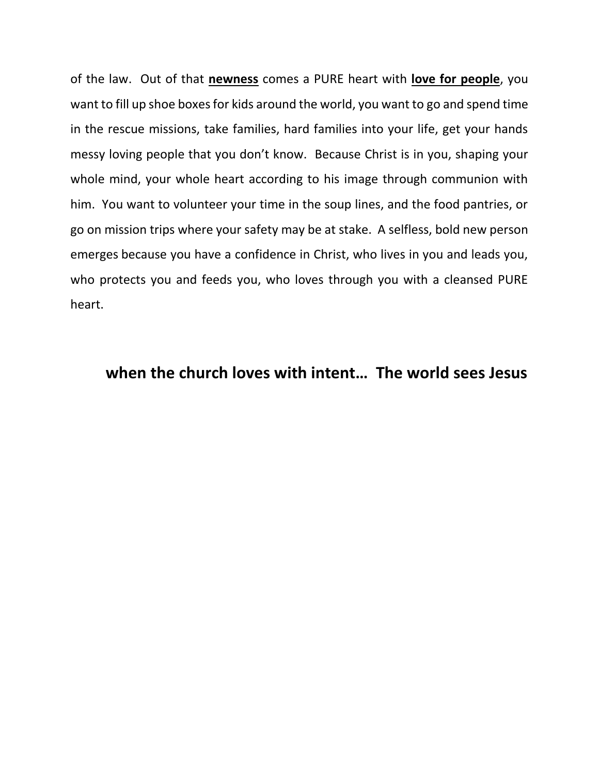of the law. Out of that **newness** comes a PURE heart with **love for people**, you want to fill up shoe boxes for kids around the world, you want to go and spend time in the rescue missions, take families, hard families into your life, get your hands messy loving people that you don't know. Because Christ is in you, shaping your whole mind, your whole heart according to his image through communion with him. You want to volunteer your time in the soup lines, and the food pantries, or go on mission trips where your safety may be at stake. A selfless, bold new person emerges because you have a confidence in Christ, who lives in you and leads you, who protects you and feeds you, who loves through you with a cleansed PURE heart.